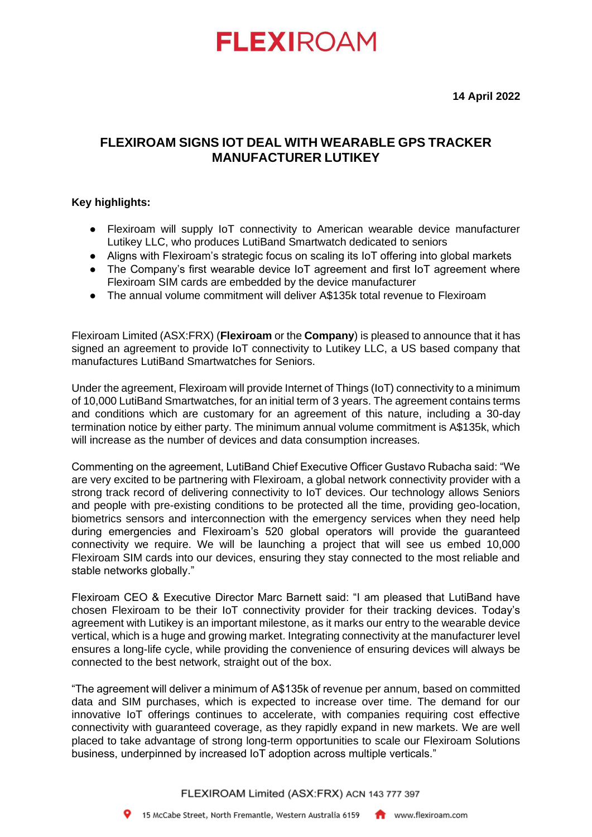## **FLEXIROAM**

**14 April 2022**

### **FLEXIROAM SIGNS IOT DEAL WITH WEARABLE GPS TRACKER MANUFACTURER LUTIKEY**

### **Key highlights:**

- Flexiroam will supply IoT connectivity to American wearable device manufacturer Lutikey LLC, who produces LutiBand Smartwatch dedicated to seniors
- Aligns with Flexiroam's strategic focus on scaling its IoT offering into global markets
- The Company's first wearable device IoT agreement and first IoT agreement where Flexiroam SIM cards are embedded by the device manufacturer
- The annual volume commitment will deliver A\$135k total revenue to Flexiroam

Flexiroam Limited (ASX:FRX) (**Flexiroam** or the **Company**) is pleased to announce that it has signed an agreement to provide IoT connectivity to Lutikey LLC, a US based company that manufactures LutiBand Smartwatches for Seniors.

Under the agreement, Flexiroam will provide Internet of Things (IoT) connectivity to a minimum of 10,000 LutiBand Smartwatches, for an initial term of 3 years. The agreement contains terms and conditions which are customary for an agreement of this nature, including a 30-day termination notice by either party. The minimum annual volume commitment is A\$135k, which will increase as the number of devices and data consumption increases.

Commenting on the agreement, LutiBand Chief Executive Officer Gustavo Rubacha said: "We are very excited to be partnering with Flexiroam, a global network connectivity provider with a strong track record of delivering connectivity to IoT devices. Our technology allows Seniors and people with pre-existing conditions to be protected all the time, providing geo-location, biometrics sensors and interconnection with the emergency services when they need help during emergencies and Flexiroam's 520 global operators will provide the guaranteed connectivity we require. We will be launching a project that will see us embed 10,000 Flexiroam SIM cards into our devices, ensuring they stay connected to the most reliable and stable networks globally."

Flexiroam CEO & Executive Director Marc Barnett said: "I am pleased that LutiBand have chosen Flexiroam to be their IoT connectivity provider for their tracking devices. Today's agreement with Lutikey is an important milestone, as it marks our entry to the wearable device vertical, which is a huge and growing market. Integrating connectivity at the manufacturer level ensures a long-life cycle, while providing the convenience of ensuring devices will always be connected to the best network, straight out of the box.

"The agreement will deliver a minimum of A\$135k of revenue per annum, based on committed data and SIM purchases, which is expected to increase over time. The demand for our innovative IoT offerings continues to accelerate, with companies requiring cost effective connectivity with guaranteed coverage, as they rapidly expand in new markets. We are well placed to take advantage of strong long-term opportunities to scale our Flexiroam Solutions business, underpinned by increased IoT adoption across multiple verticals."

FLEXIROAM Limited (ASX:FRX) ACN 143 777 397